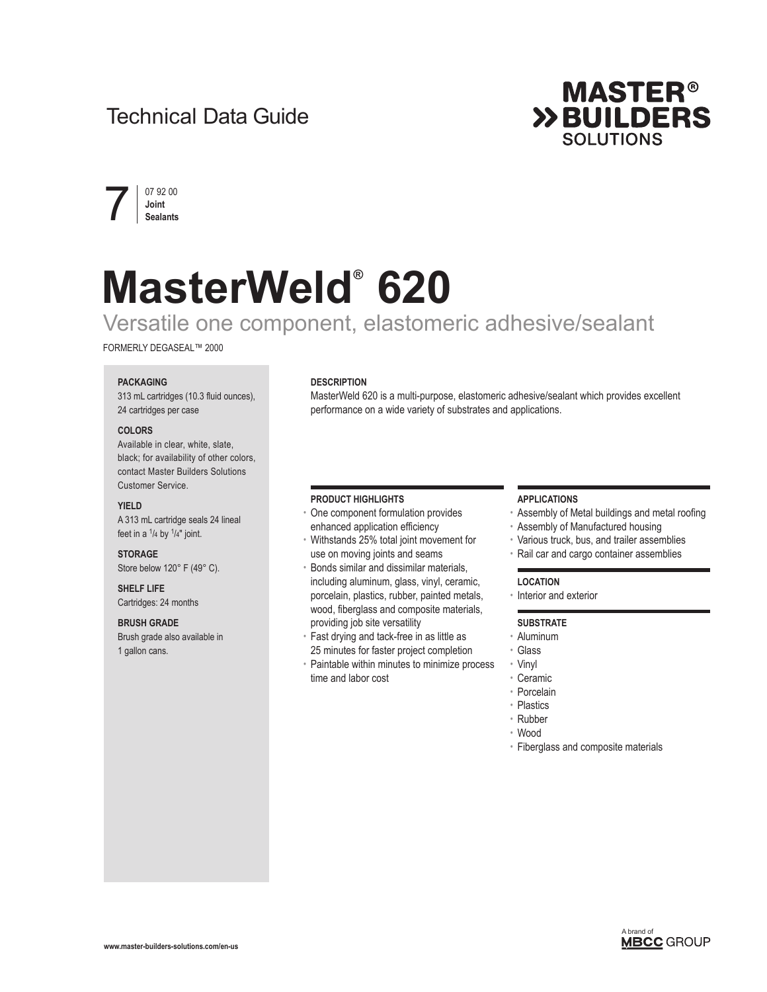# Technical Data Guide





# **MasterWeld® 620**

# Versatile one component, elastomeric adhesive/sealant

FORMERLY DEGASEAL™ 2000

## **PACKAGING**

313 mL cartridges (10.3 fluid ounces), 24 cartridges per case

#### **COLORS**

Available in clear, white, slate, black; for availability of other colors, contact Master Builders Solutions Customer Service.

#### **YIELD**

A 313 mL cartridge seals 24 lineal feet in a  $\frac{1}{4}$  by  $\frac{1}{4}$ " joint.

**STORAGE** Store below 120° F (49° C).

**SHELF LIFE** Cartridges: 24 months

#### **BRUSH GRADE**

Brush grade also available in 1 gallon cans.

## **DESCRIPTION**

MasterWeld 620 is a multi-purpose, elastomeric adhesive/sealant which provides excellent performance on a wide variety of substrates and applications.

#### **PRODUCT HIGHLIGHTS**

- One component formulation provides enhanced application efficiency
- Withstands 25% total joint movement for use on moving joints and seams
- Bonds similar and dissimilar materials, including aluminum, glass, vinyl, ceramic, porcelain, plastics, rubber, painted metals, wood, fiberglass and composite materials, providing job site versatility
- Fast drying and tack-free in as little as 25 minutes for faster project completion
- Paintable within minutes to minimize process time and labor cost

# **APPLICATIONS**

- Assembly of Metal buildings and metal roofing
- Assembly of Manufactured housing
- Various truck, bus, and trailer assemblies
- Rail car and cargo container assemblies

#### **LOCATION**

• Interior and exterior

## **SUBSTRATE**

- Aluminum
- Glass
- Vinyl
- Ceramic
- Porcelain
- Plastics
- Rubber • Wood
	-
- Fiberglass and composite materials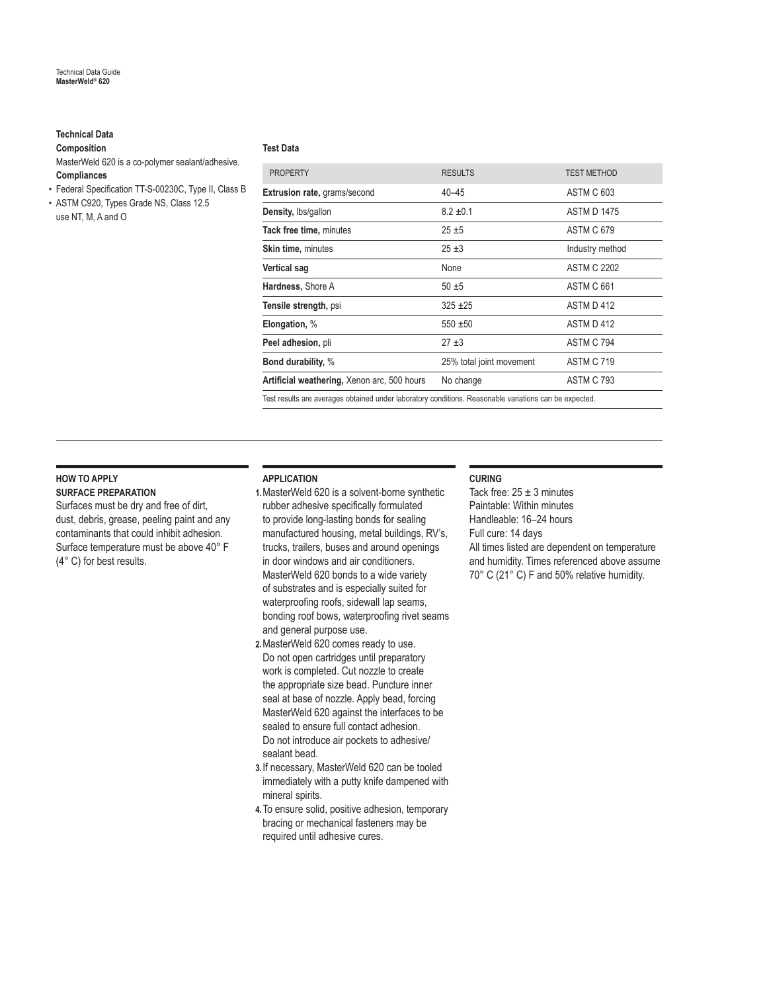# **Technical Data**

## **Composition**

- MasterWeld 620 is a co-polymer sealant/adhesive. **Compliances**
- Federal Specification TT-S-00230C, Type II, Class B
- ASTM C920, Types Grade NS, Class 12.5 use NT, M, A and O

#### **Test Data**

| <b>PROPERTY</b>                                                                                        | <b>RESULTS</b>           | <b>TEST METHOD</b> |
|--------------------------------------------------------------------------------------------------------|--------------------------|--------------------|
| Extrusion rate, grams/second                                                                           | $40 - 45$                | ASTM C 603         |
| Density, lbs/gallon                                                                                    | $8.2 \pm 0.1$            | <b>ASTM D 1475</b> |
| Tack free time, minutes                                                                                | $25 + 5$                 | <b>ASTM C 679</b>  |
| Skin time, minutes                                                                                     | $25 + 3$                 | Industry method    |
| <b>Vertical sag</b>                                                                                    | None                     | <b>ASTM C 2202</b> |
| Hardness, Shore A                                                                                      | $50 + 5$                 | ASTM C 661         |
| Tensile strength, psi                                                                                  | $325 + 25$               | ASTM D 412         |
| Elongation, %                                                                                          | $550 + 50$               | ASTM D 412         |
| Peel adhesion, pli                                                                                     | $27 + 3$                 | ASTM C 794         |
| <b>Bond durability, %</b>                                                                              | 25% total joint movement | <b>ASTM C 719</b>  |
| Artificial weathering, Xenon arc, 500 hours                                                            | No change                | <b>ASTM C 793</b>  |
| Test results are averages obtained under laboratory conditions. Reasonable variations can be expected. |                          |                    |

# **HOW TO APPLY**

# **SURFACE PREPARATION**

Surfaces must be dry and free of dirt, dust, debris, grease, peeling paint and any contaminants that could inhibit adhesion. Surface temperature must be above 40° F (4° C) for best results.

# **APPLICATION**

- **1.**MasterWeld 620 is a solvent-borne synthetic rubber adhesive specifically formulated to provide long-lasting bonds for sealing manufactured housing, metal buildings, RV's, trucks, trailers, buses and around openings in door windows and air conditioners. MasterWeld 620 bonds to a wide variety of substrates and is especially suited for waterproofing roofs, sidewall lap seams, bonding roof bows, waterproofing rivet seams and general purpose use.
- **2.**MasterWeld 620 comes ready to use. Do not open cartridges until preparatory work is completed. Cut nozzle to create the appropriate size bead. Puncture inner seal at base of nozzle. Apply bead, forcing MasterWeld 620 against the interfaces to be sealed to ensure full contact adhesion. Do not introduce air pockets to adhesive/ sealant bead.
- **3.**If necessary, MasterWeld 620 can be tooled immediately with a putty knife dampened with mineral spirits.
- **4.**To ensure solid, positive adhesion, temporary bracing or mechanical fasteners may be required until adhesive cures.

#### **CURING**

Tack free:  $25 \pm 3$  minutes Paintable: Within minutes Handleable: 16–24 hours Full cure: 14 days All times listed are dependent on temperature and humidity. Times referenced above assume 70° C (21° C) F and 50% relative humidity.